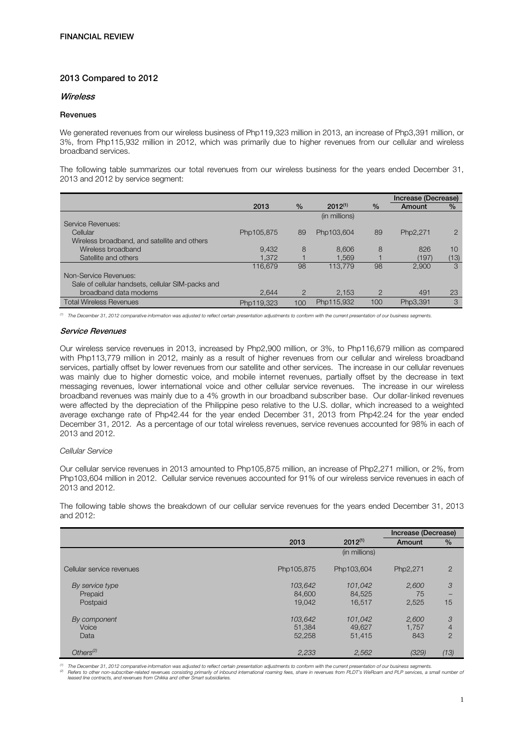# 2013 Compared to 2012

## Wireless

# Revenues

We generated revenues from our wireless business of Php119,323 million in 2013, an increase of Php3,391 million, or 3%, from Php115,932 million in 2012, which was primarily due to higher revenues from our cellular and wireless broadband services.

The following table summarizes our total revenues from our wireless business for the years ended December 31, 2013 and 2012 by service segment:

|                                                   |            |                |               |               | Increase (Decrease) |               |
|---------------------------------------------------|------------|----------------|---------------|---------------|---------------------|---------------|
|                                                   | 2013       | $\frac{0}{0}$  | $2012^{(1)}$  | $\frac{0}{0}$ | Amount              | $\frac{9}{6}$ |
|                                                   |            |                | (in millions) |               |                     |               |
| Service Revenues:                                 |            |                |               |               |                     |               |
| Cellular                                          | Php105,875 | 89             | Php103,604    | 89            | Php2,271            | $\mathcal{P}$ |
| Wireless broadband, and satellite and others      |            |                |               |               |                     |               |
| Wireless broadband                                | 9.432      | 8              | 8.606         | 8             | 826                 | 10            |
| Satellite and others                              | 1.372      |                | 1.569         |               | (197)               | (13)          |
|                                                   | 116.679    | 98             | 113,779       | 98            | 2.900               | 3             |
| Non-Service Revenues:                             |            |                |               |               |                     |               |
| Sale of cellular handsets, cellular SIM-packs and |            |                |               |               |                     |               |
| broadband data modems                             | 2.644      | $\overline{2}$ | 2,153         | $\mathcal{P}$ | 491                 | 23            |
| <b>Total Wireless Revenues</b>                    | Php119.323 | 100            | Php115,932    | 100           | Php3,391            | 3             |

*(1) The December 31, 2012 comparative information was adjusted to reflect certain presentation adjustments to conform with the current presentation of our business segments.* 

#### Service Revenues

Our wireless service revenues in 2013, increased by Php2,900 million, or 3%, to Php116,679 million as compared with Php113,779 million in 2012, mainly as a result of higher revenues from our cellular and wireless broadband services, partially offset by lower revenues from our satellite and other services. The increase in our cellular revenues was mainly due to higher domestic voice, and mobile internet revenues, partially offset by the decrease in text messaging revenues, lower international voice and other cellular service revenues. The increase in our wireless broadband revenues was mainly due to a 4% growth in our broadband subscriber base. Our dollar-linked revenues were affected by the depreciation of the Philippine peso relative to the U.S. dollar, which increased to a weighted average exchange rate of Php42.44 for the year ended December 31, 2013 from Php42.24 for the year ended December 31, 2012. As a percentage of our total wireless revenues, service revenues accounted for 98% in each of 2013 and 2012.

# *Cellular Service*

Our cellular service revenues in 2013 amounted to Php105,875 million, an increase of Php2,271 million, or 2%, from Php103,604 million in 2012. Cellular service revenues accounted for 91% of our wireless service revenues in each of 2013 and 2012.

The following table shows the breakdown of our cellular service revenues for the years ended December 31, 2013 and 2012:

|                           |            |               | Increase (Decrease) |                |
|---------------------------|------------|---------------|---------------------|----------------|
|                           | 2013       | $2012^{(1)}$  | Amount              | $\frac{9}{6}$  |
|                           |            | (in millions) |                     |                |
| Cellular service revenues | Php105,875 | Php103,604    | Php2,271            | $\overline{2}$ |
| By service type           | 103,642    | 101,042       | 2,600               | 3              |
| Prepaid                   | 84,600     | 84,525        | 75                  |                |
| Postpaid                  | 19.042     | 16,517        | 2,525               | 15             |
| By component              | 103,642    | 101,042       | 2,600               | 3              |
| Voice                     | 51,384     | 49,627        | 1,757               | $\overline{4}$ |
| Data                      | 52,258     | 51,415        | 843                 | $\overline{2}$ |
| Others <sup>(2)</sup>     | 2,233      | 2,562         | (329)               | (13)           |

<sup>(1)</sup> The December 31, 2012 comparative information was adjusted to reflect certain presentation adjustments to conform with the current presentation of our business segments.<br><sup>©</sup> Felers to other non-subscriber-related rev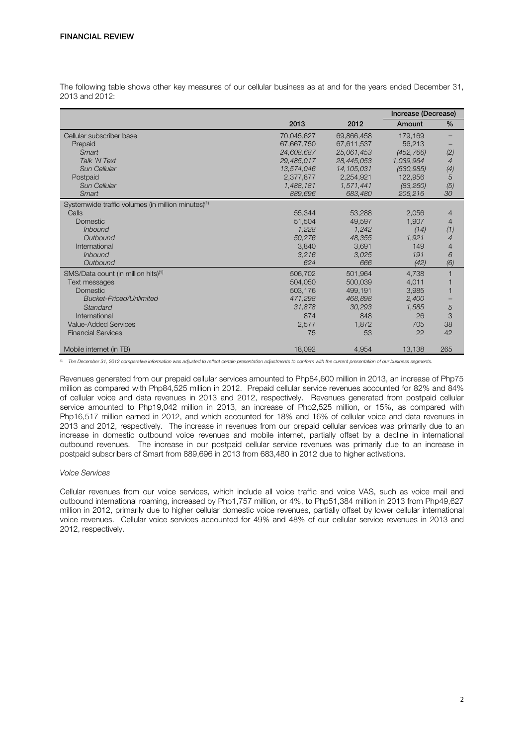|                                                                |            |              | Increase (Decrease) |                |
|----------------------------------------------------------------|------------|--------------|---------------------|----------------|
|                                                                | 2013       | 2012         | Amount              | $\%$           |
| Cellular subscriber base                                       | 70,045,627 | 69,866,458   | 179,169             |                |
| Prepaid                                                        | 67,667,750 | 67,611,537   | 56.213              |                |
| Smart                                                          | 24,608,687 | 25,061,453   | (452, 766)          | (2)            |
| Talk 'N Text                                                   | 29,485,017 | 28,445,053   | 1,039,964           | 4              |
| Sun Cellular                                                   | 13,574,046 | 14, 105, 031 | (530, 985)          | (4)            |
| Postpaid                                                       | 2,377,877  | 2,254,921    | 122,956             | 5              |
| Sun Cellular                                                   | 1,488,181  | 1,571,441    | (83, 260)           | (5)            |
| Smart                                                          | 889,696    | 683,480      | 206,216             | 30             |
| Systemwide traffic volumes (in million minutes) <sup>(1)</sup> |            |              |                     |                |
| Calls                                                          | 55,344     | 53,288       | 2,056               | 4              |
| <b>Domestic</b>                                                | 51,504     | 49,597       | 1.907               | $\overline{4}$ |
| <i>Inbound</i>                                                 | 1,228      | 1.242        | (14)                | (1)            |
| Outbound                                                       | 50.276     | 48.355       | 1,921               | $\overline{4}$ |
| International                                                  | 3,840      | 3,691        | 149                 | 4              |
| <i>Inbound</i>                                                 | 3,216      | 3.025        | 191                 | 6              |
| Outbound                                                       | 624        | 666          | (42)                | (6)            |
| SMS/Data count (in million hits) <sup>(1)</sup>                | 506,702    | 501.964      | 4.738               | $\overline{1}$ |
| Text messages                                                  | 504,050    | 500,039      | 4,011               |                |
| <b>Domestic</b>                                                | 503.176    | 499,191      | 3,985               |                |
| <b>Bucket-Priced/Unlimited</b>                                 | 471,298    | 468,898      | 2,400               |                |
| Standard                                                       | 31,878     | 30,293       | 1,585               | 5              |
| International                                                  | 874        | 848          | 26                  | 3              |
| <b>Value-Added Services</b>                                    | 2,577      | 1,872        | 705                 | 38             |
| <b>Financial Services</b>                                      | 75         | 53           | 22                  | 42             |
| Mobile internet (in TB)                                        | 18,092     | 4,954        | 13,138              | 265            |

The following table shows other key measures of our cellular business as at and for the years ended December 31, 2013 and 2012:

*(1) The December 31, 2012 comparative information was adjusted to reflect certain presentation adjustments to conform with the current presentation of our business segments.* 

Revenues generated from our prepaid cellular services amounted to Php84,600 million in 2013, an increase of Php75 million as compared with Php84,525 million in 2012. Prepaid cellular service revenues accounted for 82% and 84% of cellular voice and data revenues in 2013 and 2012, respectively. Revenues generated from postpaid cellular service amounted to Php19,042 million in 2013, an increase of Php2,525 million, or 15%, as compared with Php16,517 million earned in 2012, and which accounted for 18% and 16% of cellular voice and data revenues in 2013 and 2012, respectively. The increase in revenues from our prepaid cellular services was primarily due to an increase in domestic outbound voice revenues and mobile internet, partially offset by a decline in international outbound revenues. The increase in our postpaid cellular service revenues was primarily due to an increase in postpaid subscribers of Smart from 889,696 in 2013 from 683,480 in 2012 due to higher activations.

# *Voice Services*

Cellular revenues from our voice services, which include all voice traffic and voice VAS, such as voice mail and outbound international roaming, increased by Php1,757 million, or 4%, to Php51,384 million in 2013 from Php49,627 million in 2012, primarily due to higher cellular domestic voice revenues, partially offset by lower cellular international voice revenues. Cellular voice services accounted for 49% and 48% of our cellular service revenues in 2013 and 2012, respectively.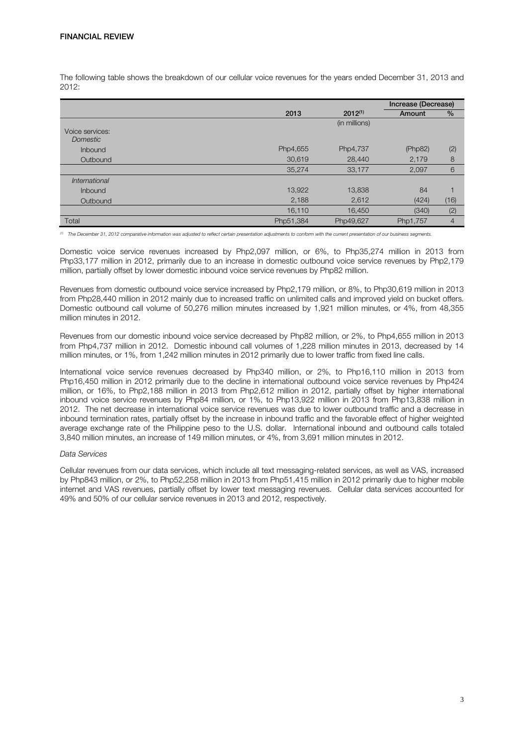The following table shows the breakdown of our cellular voice revenues for the years ended December 31, 2013 and 2012:

|                                    |           |               | Increase (Decrease) |                |
|------------------------------------|-----------|---------------|---------------------|----------------|
|                                    | 2013      | $2012^{(1)}$  | Amount              | %              |
|                                    |           | (in millions) |                     |                |
| Voice services:<br><b>Domestic</b> |           |               |                     |                |
| Inbound                            | Php4,655  | Php4,737      | (Php82)             | (2)            |
| Outbound                           | 30,619    | 28,440        | 2,179               | 8              |
|                                    | 35,274    | 33,177        | 2,097               | 6              |
| International                      |           |               |                     |                |
| Inbound                            | 13,922    | 13,838        | 84                  |                |
| Outbound                           | 2,188     | 2,612         | (424)               | (16)           |
|                                    | 16,110    | 16,450        | (340)               | (2)            |
| Total                              | Php51,384 | Php49,627     | Php1,757            | $\overline{4}$ |

*(1) The December 31, 2012 comparative information was adjusted to reflect certain presentation adjustments to conform with the current presentation of our business segments.* 

Domestic voice service revenues increased by Php2,097 million, or 6%, to Php35,274 million in 2013 from Php33,177 million in 2012, primarily due to an increase in domestic outbound voice service revenues by Php2,179 million, partially offset by lower domestic inbound voice service revenues by Php82 million.

Revenues from domestic outbound voice service increased by Php2,179 million, or 8%, to Php30,619 million in 2013 from Php28,440 million in 2012 mainly due to increased traffic on unlimited calls and improved yield on bucket offers. Domestic outbound call volume of 50,276 million minutes increased by 1,921 million minutes, or 4%, from 48,355 million minutes in 2012.

Revenues from our domestic inbound voice service decreased by Php82 million, or 2%, to Php4,655 million in 2013 from Php4,737 million in 2012. Domestic inbound call volumes of 1,228 million minutes in 2013, decreased by 14 million minutes, or 1%, from 1,242 million minutes in 2012 primarily due to lower traffic from fixed line calls.

International voice service revenues decreased by Php340 million, or 2%, to Php16,110 million in 2013 from Php16,450 million in 2012 primarily due to the decline in international outbound voice service revenues by Php424 million, or 16%, to Php2,188 million in 2013 from Php2,612 million in 2012, partially offset by higher international inbound voice service revenues by Php84 million, or 1%, to Php13,922 million in 2013 from Php13,838 million in 2012. The net decrease in international voice service revenues was due to lower outbound traffic and a decrease in inbound termination rates, partially offset by the increase in inbound traffic and the favorable effect of higher weighted average exchange rate of the Philippine peso to the U.S. dollar. International inbound and outbound calls totaled 3,840 million minutes, an increase of 149 million minutes, or 4%, from 3,691 million minutes in 2012.

# *Data Services*

Cellular revenues from our data services, which include all text messaging-related services, as well as VAS, increased by Php843 million, or 2%, to Php52,258 million in 2013 from Php51,415 million in 2012 primarily due to higher mobile internet and VAS revenues, partially offset by lower text messaging revenues. Cellular data services accounted for 49% and 50% of our cellular service revenues in 2013 and 2012, respectively.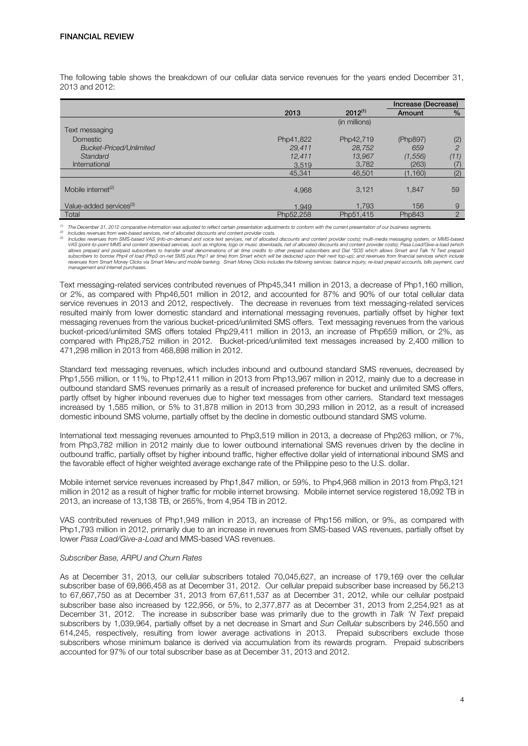The following table shows the breakdown of our cellular data service revenues for the years ended December 31, 2013 and 2012:

|                                     |           |               | Increase (Decrease) |                |
|-------------------------------------|-----------|---------------|---------------------|----------------|
|                                     | 2013      | $2012^{(1)}$  | Amount              | $\%$           |
|                                     |           | (in millions) |                     |                |
| Text messaging                      |           |               |                     |                |
| <b>Domestic</b>                     | Php41,822 | Php42,719     | (Php897)            | (2)            |
| <b>Bucket-Priced/Unlimited</b>      | 29.411    | 28,752        | 659                 | $\overline{c}$ |
| Standard                            | 12,411    | 13,967        | (1, 556)            | (11)           |
| International                       | 3,519     | 3,782         | (263)               | (7)            |
|                                     | 45,341    | 46,501        | (1, 160)            | (2)            |
|                                     |           |               |                     |                |
| Mobile internet <sup>(2)</sup>      | 4.968     | 3,121         | 1.847               | 59             |
|                                     |           |               |                     |                |
| Value-added services <sup>(3)</sup> | 1.949     | 1.793         | 156                 | 9              |
| Total                               | Php52.258 | Php51.415     | Php843              | $\overline{2}$ |

(1) The December 31, 2012 comparative information was adjusted to reflect certain presentation adjustments to conform with the current presentation of our business segments.<br><sup>(2)</sup> Includes revenues from web-based services,

*(3) Includes revenues from SMS-based VAS (info-on-demand and voice text services, net of allocated discounts and content provider costs); multi-media messaging system, or MMS-based VAS (point-to-point MMS and content download services, such as ringtone, logo or music downloads, net of allocated discounts and content provider costs); Pasa Load/Give-a-load (which*  allows prepaid and postpaid subscribers to transfer small denominations of air time credits to other prepaid subscribers and Dial \*SOS which allows Smart and Talk 'N Text prepaid<br>subscribers to borrow Php4 of load (Php3 on *revenues from Smart Money Clicks via Smart Menu and mobile banking. Smart Money Clicks includes the following services: balance inquiry, re-load prepaid accounts, bills payment, card management and internet purchases.*

Text messaging-related services contributed revenues of Php45,341 million in 2013, a decrease of Php1,160 million, or 2%, as compared with Php46,501 million in 2012, and accounted for 87% and 90% of our total cellular data service revenues in 2013 and 2012, respectively. The decrease in revenues from text messaging-related services resulted mainly from lower domestic standard and international messaging revenues, partially offset by higher text messaging revenues from the various bucket-priced/unlimited SMS offers. Text messaging revenues from the various bucket-priced/unlimited SMS offers totaled Php29,411 million in 2013, an increase of Php659 million, or 2%, as compared with Php28,752 million in 2012. Bucket-priced/unlimited text messages increased by 2,400 million to 471,298 million in 2013 from 468,898 million in 2012.

Standard text messaging revenues, which includes inbound and outbound standard SMS revenues, decreased by Php1,556 million, or 11%, to Php12,411 million in 2013 from Php13,967 million in 2012, mainly due to a decrease in outbound standard SMS revenues primarily as a result of increased preference for bucket and unlimited SMS offers, partly offset by higher inbound revenues due to higher text messages from other carriers. Standard text messages increased by 1,585 million, or 5% to 31,878 million in 2013 from 30,293 million in 2012, as a result of increased domestic inbound SMS volume, partially offset by the decline in domestic outbound standard SMS volume.

International text messaging revenues amounted to Php3,519 million in 2013, a decrease of Php263 million, or 7%, from Php3,782 million in 2012 mainly due to lower outbound international SMS revenues driven by the decline in outbound traffic, partially offset by higher inbound traffic, higher effective dollar yield of international inbound SMS and the favorable effect of higher weighted average exchange rate of the Philippine peso to the U.S. dollar.

Mobile internet service revenues increased by Php1,847 million, or 59%, to Php4,968 million in 2013 from Php3,121 million in 2012 as a result of higher traffic for mobile internet browsing. Mobile internet service registered 18,092 TB in 2013, an increase of 13,138 TB, or 265%, from 4,954 TB in 2012.

VAS contributed revenues of Php1,949 million in 2013, an increase of Php156 million, or 9%, as compared with Php1,793 million in 2012, primarily due to an increase in revenues from SMS-based VAS revenues, partially offset by lower *Pasa Load/Give-a-Load* and MMS-based VAS revenues.

## *Subscriber Base, ARPU and Churn Rates*

As at December 31, 2013, our cellular subscribers totaled 70,045,627, an increase of 179,169 over the cellular subscriber base of 69,866,458 as at December 31, 2012. Our cellular prepaid subscriber base increased by 56,213 to 67,667,750 as at December 31, 2013 from 67,611,537 as at December 31, 2012, while our cellular postpaid subscriber base also increased by 122,956, or 5%, to 2,377,877 as at December 31, 2013 from 2,254,921 as at December 31, 2012. The increase in subscriber base was primarily due to the growth in *Talk 'N Text* prepaid subscribers by 1,039,964, partially offset by a net decrease in Smart and *Sun Cellular* subscribers by 246,550 and 614,245, respectively, resulting from lower average activations in 2013. Prepaid subscribers exclude those subscribers whose minimum balance is derived via accumulation from its rewards program. Prepaid subscribers accounted for 97% of our total subscriber base as at December 31, 2013 and 2012.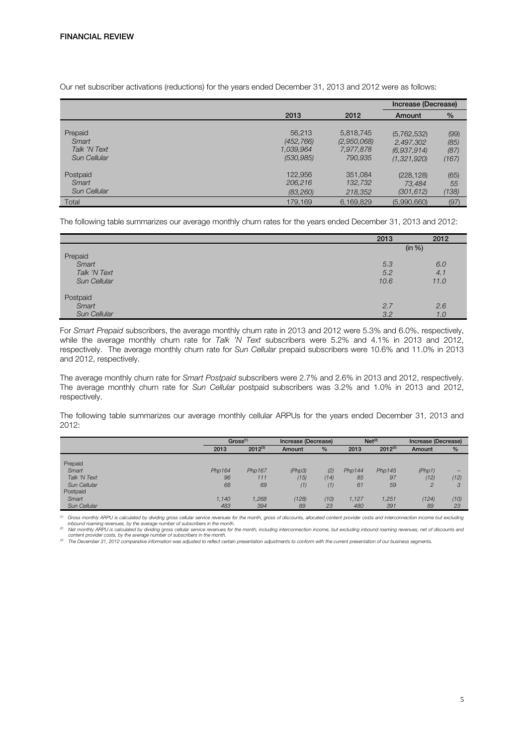Our net subscriber activations (reductions) for the years ended December 31, 2013 and 2012 were as follows:

|                                                  |                                                 |                                                  | Increase (Decrease)                                    |                               |
|--------------------------------------------------|-------------------------------------------------|--------------------------------------------------|--------------------------------------------------------|-------------------------------|
|                                                  | 2013                                            | 2012                                             | Amount                                                 | $\%$                          |
| Prepaid<br>Smart<br>Talk 'N Text<br>Sun Cellular | 56.213<br>(452, 766)<br>1,039,964<br>(530, 985) | 5,818,745<br>(2,950,068)<br>7,977,878<br>790.935 | (5,762,532)<br>2.497.302<br>(6.937.914)<br>(1.321.920) | (99)<br>(85)<br>(87)<br>(167) |
| Postpaid<br>Smart<br>Sun Cellular                | 122.956<br>206,216<br>(83, 260)                 | 351,084<br>132,732<br>218,352                    | (228.128)<br>73,484<br>(301, 612)                      | (65)<br>55<br>(138)           |
| Total                                            | 179,169                                         | 6,169,829                                        | (5,990,660)                                            | (97)                          |

The following table summarizes our average monthly churn rates for the years ended December 31, 2013 and 2012:

|              | 2013 | 2012   |
|--------------|------|--------|
|              |      | (in %) |
| Prepaid      |      |        |
| Smart        | 5.3  | 6.0    |
| Talk 'N Text | 5.2  | 4.1    |
| Sun Cellular | 10.6 | 11.0   |
| Postpaid     |      |        |
| Smart        | 2.7  | 2.6    |
| Sun Cellular | 3.2  | 1.0    |

For *Smart Prepaid* subscribers, the average monthly churn rate in 2013 and 2012 were 5.3% and 6.0%, respectively, while the average monthly churn rate for *Talk 'N Text* subscribers were 5.2% and 4.1% in 2013 and 2012, respectively. The average monthly churn rate for *Sun Cellular* prepaid subscribers were 10.6% and 11.0% in 2013 and 2012, respectively.

The average monthly churn rate for *Smart Postpaid* subscribers were 2.7% and 2.6% in 2013 and 2012, respectively. The average monthly churn rate for *Sun Cellular* postpaid subscribers was 3.2% and 1.0% in 2013 and 2012, respectively.

The following table summarizes our average monthly cellular ARPUs for the years ended December 31, 2013 and 2012:

|              | Gross <sup>(1)</sup> |              | Increase (Decrease) |               |        | Net <sup>(2)</sup> |                | Increase (Decrease) |
|--------------|----------------------|--------------|---------------------|---------------|--------|--------------------|----------------|---------------------|
|              | 2013                 | $2012^{(3)}$ | Amount              | $\frac{9}{6}$ | 2013   | $2012^{(3)}$       | Amount         | $\frac{9}{6}$       |
|              |                      |              |                     |               |        |                    |                |                     |
| Prepaid      |                      |              |                     |               |        |                    |                |                     |
| Smart        | Php164               | Php167       | (Php3)              | (2)           | Php144 | Php145             | (Php1)         |                     |
| Talk 'N Text | 96                   | 111          | (15)                | (14)          | 85     | 97                 | (12)           | (12)                |
| Sun Cellular | 68                   | 69           | (1)                 | (1)           | 61     | 59                 | $\overline{c}$ | 3                   |
| Postpaid     |                      |              |                     |               |        |                    |                |                     |
| Smart        | 1.140                | 1,268        | (128)               | (10)          | 1,127  | 1,251              | (124)          | (10)                |
| Sun Cellular | 483                  | 394          | 89                  | 23            | 480    | 391                | 89             | 23                  |
|              |                      |              |                     |               |        |                    |                |                     |

*(1) Gross monthly ARPU is calculated by dividing gross cellular service revenues for the month, gross of discounts, allocated content provider costs and interconnection income but excluding* 

inbound roaming revenues, by the average number of subscribers in the month.<br><sup>(2)</sup> Net monthly ARPU is calculated by dividing gross cellular service revenues for the month, including interconnection income, but excluding i

The December 31, 2012 comparative information was adjusted to reflect certain presentation adjustments to conform with the current presentation of our business segments.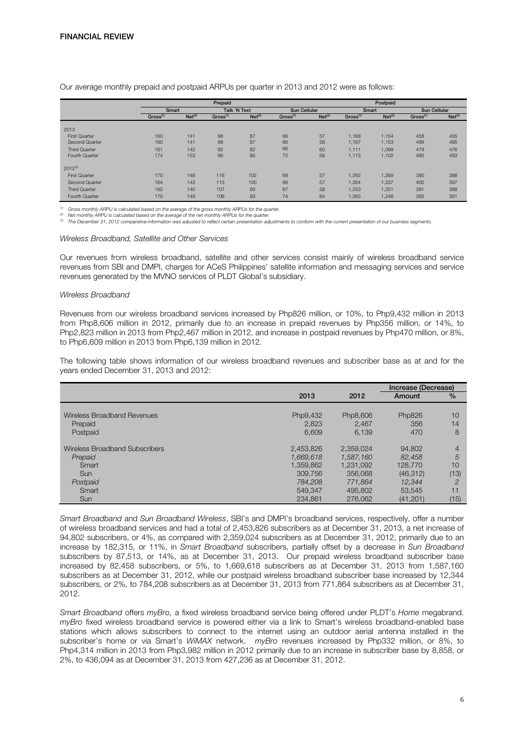|                      |                      |                    | Prepaid              |                    |                      |                    |                      | Postpaid           |                      |                    |
|----------------------|----------------------|--------------------|----------------------|--------------------|----------------------|--------------------|----------------------|--------------------|----------------------|--------------------|
|                      | Smart                |                    | Talk 'N Text         |                    | <b>Sun Cellular</b>  |                    | Smart                |                    | <b>Sun Cellular</b>  |                    |
|                      | Gross <sup>(1)</sup> | Net <sup>(2)</sup> | Gross <sup>(1)</sup> | Net <sup>(2)</sup> | Gross <sup>(1)</sup> | Net <sup>(2)</sup> | Gross <sup>(1)</sup> | Net <sup>(2)</sup> | Gross <sup>(1)</sup> | Net <sup>(2)</sup> |
|                      |                      |                    |                      |                    |                      |                    |                      |                    |                      |                    |
| 2013                 |                      |                    |                      |                    |                      |                    |                      |                    |                      |                    |
| <b>First Quarter</b> | 160                  | 141                | 98                   | 87                 | 66                   | 57                 | 1.168                | 1.154              | 458                  | 455                |
| Second Quarter       | 160                  | 141                | 98                   | 87                 | 66                   | 58                 | 1,167                | 1,153              | 499                  | 495                |
| <b>Third Quarter</b> | 161                  | 142                | 92                   | 82                 | 66                   | 60                 | 1,111                | 1,099              | 479                  | 476                |
| Fourth Quarter       | 174                  | 153                | 96                   | 85                 | 72                   | 68                 | 1,113                | 1,102              | 495                  | 493                |
| $2012^{(3)}$         |                      |                    |                      |                    |                      |                    |                      |                    |                      |                    |
| <b>First Quarter</b> | 170                  | 148                | 116                  | 102                | 68                   | 57                 | 1.292                | 1.269              | 390                  | 388                |
| Second Quarter       | 164                  | 143                | 113                  | 100                | 66                   | 57                 | 1.264                | 1.237              | 400                  | 397                |
| <b>Third Quarter</b> | 162                  | 140                | 107                  | 93                 | 67                   | 58                 | 1.253                | 1.251              | 391                  | 388                |
| Fourth Quarter       | 170                  | 149                | 106                  | 93                 | 74                   | 64                 | 1,265                | 1,248              | 393                  | 391                |

Our average monthly prepaid and postpaid ARPUs per quarter in 2013 and 2012 were as follows:

*(1) Gross monthly ARPU is calculated based on the average of the gross monthly ARPUs for the quarter.*

<sup>(2)</sup> Net monthly ARPU is calculated based on the average of the net monthly ARPUs for the quarter.<br><sup>(3)</sup> The December 31, 2012 comparative information was adjusted to reflect certain presentation adjustments to conform wi

#### *Wireless Broadband, Satellite and Other Services*

Our revenues from wireless broadband, satellite and other services consist mainly of wireless broadband service revenues from SBI and DMPI, charges for ACeS Philippines' satellite information and messaging services and service revenues generated by the MVNO services of PLDT Global's subsidiary.

## *Wireless Broadband*

Revenues from our wireless broadband services increased by Php826 million, or 10%, to Php9,432 million in 2013 from Php8,606 million in 2012, primarily due to an increase in prepaid revenues by Php356 million, or 14%, to Php2,823 million in 2013 from Php2,467 million in 2012, and increase in postpaid revenues by Php470 million, or 8%, to Php6,609 million in 2013 from Php6,139 million in 2012.

The following table shows information of our wireless broadband revenues and subscriber base as at and for the years ended December 31, 2013 and 2012:

|                                |           |           | Increase (Decrease) |                |
|--------------------------------|-----------|-----------|---------------------|----------------|
|                                | 2013      | 2012      | Amount              | $\frac{9}{6}$  |
|                                |           |           |                     |                |
| Wireless Broadband Revenues    | Php9,432  | Php8,606  | Php826              | 10             |
| Prepaid                        | 2.823     | 2.467     | 356                 | 14             |
| Postpaid                       | 6.609     | 6.139     | 470                 | 8              |
|                                |           |           |                     |                |
| Wireless Broadband Subscribers | 2.453.826 | 2,359,024 | 94.802              | 4              |
| Prepaid                        | 1.669.618 | 1,587,160 | 82.458              | 5              |
| Smart                          | 1,359,862 | 1,231,092 | 128,770             | 10             |
| Sun                            | 309.756   | 356,068   | (46, 312)           | (13)           |
| Postpaid                       | 784,208   | 771.864   | 12.344              | $\overline{c}$ |
| Smart                          | 549.347   | 495,802   | 53.545              | 11             |
| <b>Sun</b>                     | 234.861   | 276,062   | (41, 201)           | (15)           |

*Smart Broadband* and *Sun Broadband Wireless*, SBI's and DMPI's broadband services, respectively, offer a number of wireless broadband services and had a total of 2,453,826 subscribers as at December 31, 2013, a net increase of 94,802 subscribers, or 4%, as compared with 2,359,024 subscribers as at December 31, 2012, primarily due to an increase by 182,315, or 11%, in *Smart Broadband* subscribers, partially offset by a decrease in *Sun Broadband* subscribers by 87,513, or 14%, as at December 31, 2013. Our prepaid wireless broadband subscriber base increased by 82,458 subscribers, or 5%, to 1,669,618 subscribers as at December 31, 2013 from 1,587,160 subscribers as at December 31, 2012, while our postpaid wireless broadband subscriber base increased by 12,344 subscribers, or 2%, to 784,208 subscribers as at December 31, 2013 from 771,864 subscribers as at December 31, 2012.

*Smart Broadband* offers *myBro,* a fixed wireless broadband service being offered under PLDT's *Home* megabrand. *myBro* fixed wireless broadband service is powered either via a link to Smart's wireless broadband-enabled base stations which allows subscribers to connect to the internet using an outdoor aerial antenna installed in the subscriber's home or via Smart's *WiMAX* network. *myBro* revenues increased by Php332 million, or 8%, to Php4,314 million in 2013 from Php3,982 million in 2012 primarily due to an increase in subscriber base by 8,858, or 2%, to 436,094 as at December 31, 2013 from 427,236 as at December 31, 2012.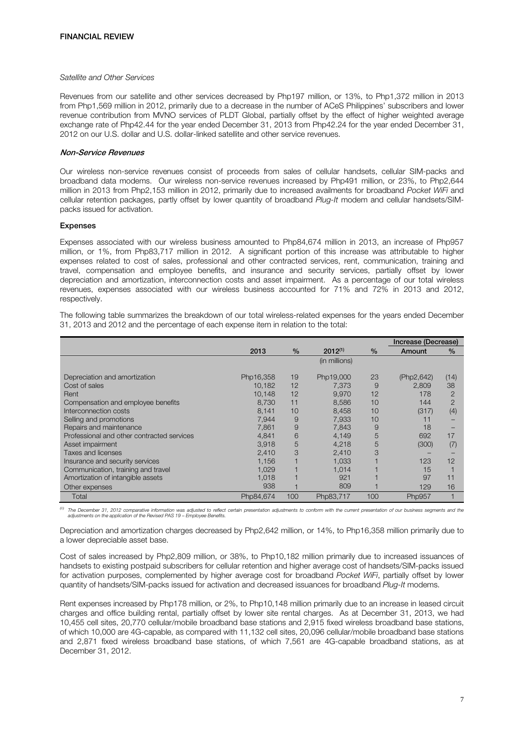# *Satellite and Other Services*

Revenues from our satellite and other services decreased by Php197 million, or 13%, to Php1,372 million in 2013 from Php1,569 million in 2012, primarily due to a decrease in the number of ACeS Philippines' subscribers and lower revenue contribution from MVNO services of PLDT Global, partially offset by the effect of higher weighted average exchange rate of Php42.44 for the year ended December 31, 2013 from Php42.24 for the year ended December 31, 2012 on our U.S. dollar and U.S. dollar-linked satellite and other service revenues.

# Non-Service Revenues

Our wireless non-service revenues consist of proceeds from sales of cellular handsets, cellular SIM-packs and broadband data modems. Our wireless non-service revenues increased by Php491 million, or 23%, to Php2,644 million in 2013 from Php2,153 million in 2012, primarily due to increased availments for broadband *Pocket WiFi* and cellular retention packages, partly offset by lower quantity of broadband *Plug-It* modem and cellular handsets/SIMpacks issued for activation.

## Expenses

Expenses associated with our wireless business amounted to Php84,674 million in 2013, an increase of Php957 million, or 1%, from Php83,717 million in 2012. A significant portion of this increase was attributable to higher expenses related to cost of sales, professional and other contracted services, rent, communication, training and travel, compensation and employee benefits, and insurance and security services, partially offset by lower depreciation and amortization, interconnection costs and asset impairment. As a percentage of our total wireless revenues, expenses associated with our wireless business accounted for 71% and 72% in 2013 and 2012, respectively.

The following table summarizes the breakdown of our total wireless-related expenses for the years ended December 31, 2013 and 2012 and the percentage of each expense item in relation to the total:

|                                            |           |      |               |      | Increase (Decrease) |                |
|--------------------------------------------|-----------|------|---------------|------|---------------------|----------------|
|                                            | 2013      | $\%$ | $2012^{(1)}$  | $\%$ | Amount              | $\frac{0}{0}$  |
|                                            |           |      | (in millions) |      |                     |                |
| Depreciation and amortization              | Php16,358 | 19   | Php19,000     | 23   | (Php2,642)          | (14)           |
| Cost of sales                              | 10.182    | 12   | 7.373         | 9    | 2.809               | 38             |
| Rent                                       | 10.148    | 12   | 9.970         | 12   | 178                 | $\overline{2}$ |
| Compensation and employee benefits         | 8,730     | 11   | 8,586         | 10   | 144                 | 2              |
| Interconnection costs                      | 8.141     | 10   | 8,458         | 10   | (317)               | (4)            |
| Selling and promotions                     | 7,944     | 9    | 7,933         | 10   | 11                  |                |
| Repairs and maintenance                    | 7.861     | 9    | 7.843         | 9    | 18                  |                |
| Professional and other contracted services | 4.841     | 6    | 4,149         | 5    | 692                 | 17             |
| Asset impairment                           | 3.918     | 5    | 4.218         | 5    | (300)               | (7)            |
| Taxes and licenses                         | 2,410     | 3    | 2,410         | 3    |                     |                |
| Insurance and security services            | 1.156     |      | 1.033         |      | 123                 | 12             |
| Communication, training and travel         | 1.029     |      | 1.014         |      | 15                  |                |
| Amortization of intangible assets          | 1.018     |      | 921           |      | 97                  | 11             |
| Other expenses                             | 938       |      | 809           |      | 129                 | 16             |
| Total                                      | Php84,674 | 100  | Php83,717     | 100  | Php957              |                |

<sup>(1)</sup> The December 31, 2012 comparative information was adjusted to reflect certain presentation adjustments to conform with the current presentation of our business segments and the<br>adjustments on the application of the R

Depreciation and amortization charges decreased by Php2,642 million, or 14%, to Php16,358 million primarily due to a lower depreciable asset base.

Cost of sales increased by Php2,809 million, or 38%, to Php10,182 million primarily due to increased issuances of handsets to existing postpaid subscribers for cellular retention and higher average cost of handsets/SIM-packs issued for activation purposes, complemented by higher average cost for broadband *Pocket WiFi*, partially offset by lower quantity of handsets/SIM-packs issued for activation and decreased issuances for broadband *Plug-It* modems.

Rent expenses increased by Php178 million, or 2%, to Php10,148 million primarily due to an increase in leased circuit charges and office building rental, partially offset by lower site rental charges. As at December 31, 2013, we had 10,455 cell sites, 20,770 cellular/mobile broadband base stations and 2,915 fixed wireless broadband base stations, of which 10,000 are 4G-capable, as compared with 11,132 cell sites, 20,096 cellular/mobile broadband base stations and 2,871 fixed wireless broadband base stations, of which 7,561 are 4G-capable broadband stations, as at December 31, 2012.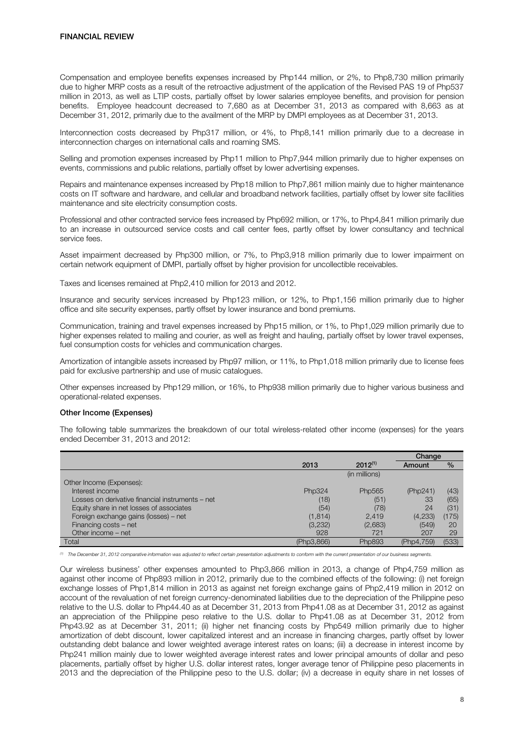Compensation and employee benefits expenses increased by Php144 million, or 2%, to Php8,730 million primarily due to higher MRP costs as a result of the retroactive adjustment of the application of the Revised PAS 19 of Php537 million in 2013, as well as LTIP costs, partially offset by lower salaries employee benefits, and provision for pension benefits. Employee headcount decreased to 7,680 as at December 31, 2013 as compared with 8,663 as at December 31, 2012, primarily due to the availment of the MRP by DMPI employees as at December 31, 2013.

Interconnection costs decreased by Php317 million, or 4%, to Php8,141 million primarily due to a decrease in interconnection charges on international calls and roaming SMS.

Selling and promotion expenses increased by Php11 million to Php7,944 million primarily due to higher expenses on events, commissions and public relations, partially offset by lower advertising expenses.

Repairs and maintenance expenses increased by Php18 million to Php7,861 million mainly due to higher maintenance costs on IT software and hardware, and cellular and broadband network facilities, partially offset by lower site facilities maintenance and site electricity consumption costs.

Professional and other contracted service fees increased by Php692 million, or 17%, to Php4,841 million primarily due to an increase in outsourced service costs and call center fees, partly offset by lower consultancy and technical service fees.

Asset impairment decreased by Php300 million, or 7%, to Php3,918 million primarily due to lower impairment on certain network equipment of DMPI, partially offset by higher provision for uncollectible receivables.

Taxes and licenses remained at Php2,410 million for 2013 and 2012.

Insurance and security services increased by Php123 million, or 12%, to Php1,156 million primarily due to higher office and site security expenses, partly offset by lower insurance and bond premiums.

Communication, training and travel expenses increased by Php15 million, or 1%, to Php1,029 million primarily due to higher expenses related to mailing and courier, as well as freight and hauling, partially offset by lower travel expenses, fuel consumption costs for vehicles and communication charges.

Amortization of intangible assets increased by Php97 million, or 11%, to Php1,018 million primarily due to license fees paid for exclusive partnership and use of music catalogues.

Other expenses increased by Php129 million, or 16%, to Php938 million primarily due to higher various business and operational-related expenses.

# Other Income (Expenses)

The following table summarizes the breakdown of our total wireless-related other income (expenses) for the years ended December 31, 2013 and 2012:

|                                                  |            |               | Change     |       |
|--------------------------------------------------|------------|---------------|------------|-------|
|                                                  | 2013       | $2012^{(1)}$  | Amount     | $\%$  |
|                                                  |            | (in millions) |            |       |
| Other Income (Expenses):                         |            |               |            |       |
| Interest income                                  | Php324     | Php565        | (Php241)   | (43)  |
| Losses on derivative financial instruments – net | (18)       | (51           | 33         | (65)  |
| Equity share in net losses of associates         | (54)       | (78)          | 24         | (31)  |
| Foreign exchange gains (losses) - net            | (1, 814)   | 2.419         | (4,233)    | (175) |
| Financing costs - net                            | (3,232)    | (2,683)       | (549)      | 20    |
| Other income - net                               | 928        | 721           | 207        | 29    |
| Total                                            | (Php3,866) | Php893        | (Php4.759) | (533) |

*(1) The December 31, 2012 comparative information was adjusted to reflect certain presentation adjustments to conform with the current presentation of our business segments.* 

Our wireless business' other expenses amounted to Php3,866 million in 2013, a change of Php4,759 million as against other income of Php893 million in 2012, primarily due to the combined effects of the following: (i) net foreign exchange losses of Php1,814 million in 2013 as against net foreign exchange gains of Php2,419 million in 2012 on account of the revaluation of net foreign currency-denominated liabilities due to the depreciation of the Philippine peso relative to the U.S. dollar to Php44.40 as at December 31, 2013 from Php41.08 as at December 31, 2012 as against an appreciation of the Philippine peso relative to the U.S. dollar to Php41.08 as at December 31, 2012 from Php43.92 as at December 31, 2011; (ii) higher net financing costs by Php549 million primarily due to higher amortization of debt discount, lower capitalized interest and an increase in financing charges, partly offset by lower outstanding debt balance and lower weighted average interest rates on loans; (iii) a decrease in interest income by Php241 million mainly due to lower weighted average interest rates and lower principal amounts of dollar and peso placements, partially offset by higher U.S. dollar interest rates, longer average tenor of Philippine peso placements in 2013 and the depreciation of the Philippine peso to the U.S. dollar; (iv) a decrease in equity share in net losses of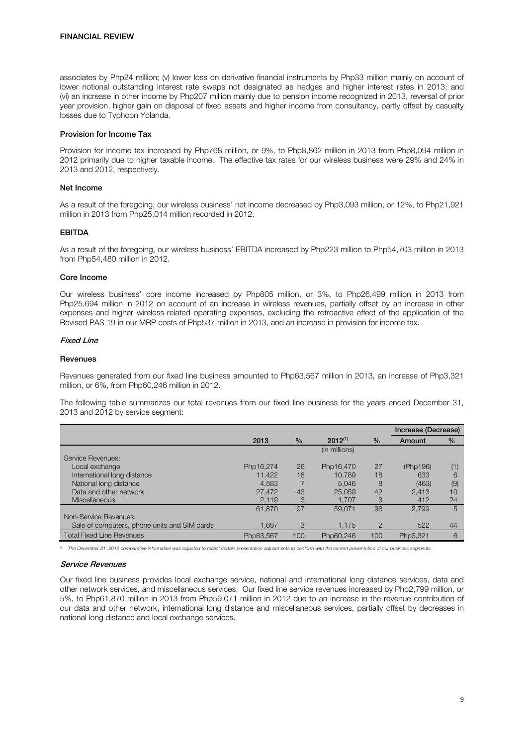associates by Php24 million; (v) lower loss on derivative financial instruments by Php33 million mainly on account of lower notional outstanding interest rate swaps not designated as hedges and higher interest rates in 2013; and (vi) an increase in other income by Php207 million mainly due to pension income recognized in 2013, reversal of prior year provision, higher gain on disposal of fixed assets and higher income from consultancy, partly offset by casualty losses due to Typhoon Yolanda.

## Provision for Income Tax

Provision for income tax increased by Php768 million, or 9%, to Php8,862 million in 2013 from Php8,094 million in 2012 primarily due to higher taxable income. The effective tax rates for our wireless business were 29% and 24% in 2013 and 2012, respectively.

#### Net Income

As a result of the foregoing, our wireless business' net income decreased by Php3,093 million, or 12%, to Php21,921 million in 2013 from Php25,014 million recorded in 2012.

## EBITDA

As a result of the foregoing, our wireless business' EBITDA increased by Php223 million to Php54,703 million in 2013 from Php54,480 million in 2012.

## Core Income

Our wireless business' core income increased by Php805 million, or 3%, to Php26,499 million in 2013 from Php25,694 million in 2012 on account of an increase in wireless revenues, partially offset by an increase in other expenses and higher wireless-related operating expenses, excluding the retroactive effect of the application of the Revised PAS 19 in our MRP costs of Php537 million in 2013, and an increase in provision for income tax.

## Fixed Line

#### Revenues

Revenues generated from our fixed line business amounted to Php63,567 million in 2013, an increase of Php3,321 million, or 6%, from Php60,246 million in 2012.

The following table summarizes our total revenues from our fixed line business for the years ended December 31, 2013 and 2012 by service segment:

|                                              |           |      |               |                | Increase (Decrease) |     |
|----------------------------------------------|-----------|------|---------------|----------------|---------------------|-----|
|                                              | 2013      | $\%$ | $2012^{(1)}$  | $\frac{0}{0}$  | Amount              | %   |
|                                              |           |      | (in millions) |                |                     |     |
| Service Revenues:                            |           |      |               |                |                     |     |
| Local exchange                               | Php16,274 | 26   | Php16,470     | 27             | (Php196)            | (1) |
| International long distance                  | 11.422    | 18   | 10.789        | 18             | 633                 | 6   |
| National long distance                       | 4,583     |      | 5.046         | 8              | (463)               | (9) |
| Data and other network                       | 27,472    | 43   | 25,059        | 42             | 2.413               | 10  |
| <b>Miscellaneous</b>                         | 2.119     | 3    | 1.707         | 3              | 412                 | 24  |
|                                              | 61,870    | 97   | 59.071        | 98             | 2.799               | 5   |
| Non-Service Revenues:                        |           |      |               |                |                     |     |
| Sale of computers, phone units and SIM cards | 1.697     | 3    | 1,175         | $\overline{2}$ | 522                 | 44  |
| <b>Total Fixed Line Revenues</b>             | Php63.567 | 100  | Php60.246     | 100            | Php3,321            | 6   |

*(1) The December 31, 2012 comparative information was adjusted to reflect certain presentation adjustments to conform with the current presentation of our business segments.* 

## Service Revenues

Our fixed line business provides local exchange service, national and international long distance services, data and other network services, and miscellaneous services. Our fixed line service revenues increased by Php2,799 million, or 5%, to Php61,870 million in 2013 from Php59,071 million in 2012 due to an increase in the revenue contribution of our data and other network, international long distance and miscellaneous services, partially offset by decreases in national long distance and local exchange services.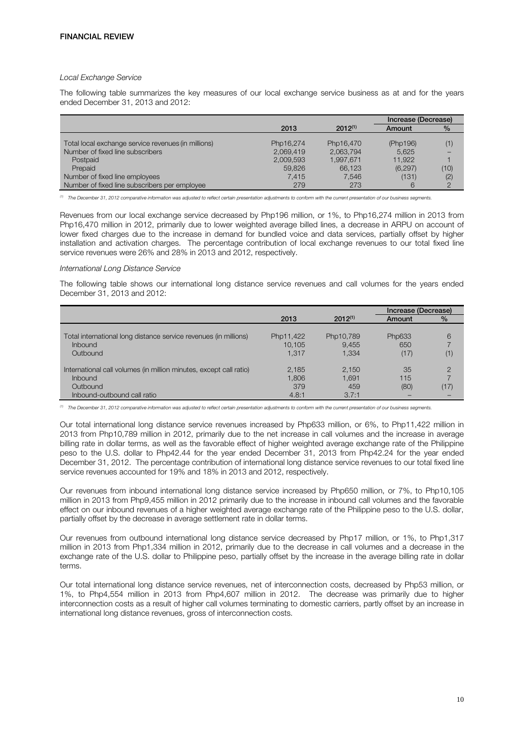#### *Local Exchange Service*

The following table summarizes the key measures of our local exchange service business as at and for the years ended December 31, 2013 and 2012:

|                                                     |           |              | Increase (Decrease) |      |
|-----------------------------------------------------|-----------|--------------|---------------------|------|
|                                                     | 2013      | $2012^{(1)}$ | Amount              | $\%$ |
|                                                     |           |              |                     |      |
| Total local exchange service revenues (in millions) | Php16,274 | Php16.470    | (Php196)            | (1)  |
| Number of fixed line subscribers                    | 2,069,419 | 2.063.794    | 5,625               |      |
| Postpaid                                            | 2,009,593 | 1.997.671    | 11.922              |      |
| Prepaid                                             | 59,826    | 66.123       | (6, 297)            | (10) |
| Number of fixed line employees                      | 7.415     | 7.546        | (131)               | (2)  |
| Number of fixed line subscribers per employee       | 279       | 273          |                     |      |

*(1) The December 31, 2012 comparative information was adjusted to reflect certain presentation adjustments to conform with the current presentation of our business segments.* 

Revenues from our local exchange service decreased by Php196 million, or 1%, to Php16,274 million in 2013 from Php16,470 million in 2012, primarily due to lower weighted average billed lines, a decrease in ARPU on account of lower fixed charges due to the increase in demand for bundled voice and data services, partially offset by higher installation and activation charges. The percentage contribution of local exchange revenues to our total fixed line service revenues were 26% and 28% in 2013 and 2012, respectively.

#### *International Long Distance Service*

The following table shows our international long distance service revenues and call volumes for the years ended December 31, 2013 and 2012:

|                                                                    |           |              | Increase (Decrease) |               |
|--------------------------------------------------------------------|-----------|--------------|---------------------|---------------|
|                                                                    | 2013      | $2012^{(1)}$ | Amount              | $\%$          |
|                                                                    |           |              |                     |               |
| Total international long distance service revenues (in millions)   | Php11,422 | Php10,789    | Php633              | 6             |
| <b>Inbound</b>                                                     | 10.105    | 9.455        | 650                 |               |
| Outbound                                                           | 1.317     | 1,334        | (17)                | (1)           |
|                                                                    |           |              |                     |               |
| International call volumes (in million minutes, except call ratio) | 2,185     | 2,150        | 35                  | $\mathcal{P}$ |
| <b>Inbound</b>                                                     | 1,806     | 1,691        | 115                 |               |
| Outbound                                                           | 379       | 459          | (80)                | (17)          |
| Inbound-outbound call ratio                                        | 4.8:1     | 3.7:1        |                     |               |

*(1) The December 31, 2012 comparative information was adjusted to reflect certain presentation adjustments to conform with the current presentation of our business segments.* 

Our total international long distance service revenues increased by Php633 million, or 6%, to Php11,422 million in 2013 from Php10,789 million in 2012, primarily due to the net increase in call volumes and the increase in average billing rate in dollar terms, as well as the favorable effect of higher weighted average exchange rate of the Philippine peso to the U.S. dollar to Php42.44 for the year ended December 31, 2013 from Php42.24 for the year ended December 31, 2012. The percentage contribution of international long distance service revenues to our total fixed line service revenues accounted for 19% and 18% in 2013 and 2012, respectively.

Our revenues from inbound international long distance service increased by Php650 million, or 7%, to Php10,105 million in 2013 from Php9,455 million in 2012 primarily due to the increase in inbound call volumes and the favorable effect on our inbound revenues of a higher weighted average exchange rate of the Philippine peso to the U.S. dollar, partially offset by the decrease in average settlement rate in dollar terms.

Our revenues from outbound international long distance service decreased by Php17 million, or 1%, to Php1,317 million in 2013 from Php1,334 million in 2012, primarily due to the decrease in call volumes and a decrease in the exchange rate of the U.S. dollar to Philippine peso, partially offset by the increase in the average billing rate in dollar terms.

Our total international long distance service revenues, net of interconnection costs, decreased by Php53 million, or 1%, to Php4,554 million in 2013 from Php4,607 million in 2012. The decrease was primarily due to higher interconnection costs as a result of higher call volumes terminating to domestic carriers, partly offset by an increase in international long distance revenues, gross of interconnection costs.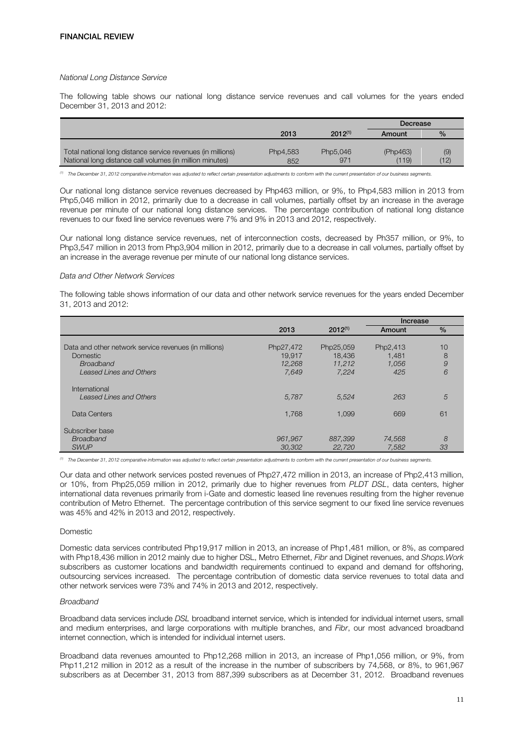## *National Long Distance Service*

The following table shows our national long distance service revenues and call volumes for the years ended December 31, 2013 and 2012:

|                                                             |          |              | Decrease |               |
|-------------------------------------------------------------|----------|--------------|----------|---------------|
|                                                             | 2013     | $2012^{(1)}$ | Amount   | $\frac{0}{2}$ |
|                                                             |          |              |          |               |
| Total national long distance service revenues (in millions) | Php4,583 | Php5,046     | (Php463) | (9)           |
| National long distance call volumes (in million minutes)    | 852      | 971          | (119)    | 12)           |

*(1) The December 31, 2012 comparative information was adjusted to reflect certain presentation adjustments to conform with the current presentation of our business segments.* 

Our national long distance service revenues decreased by Php463 million, or 9%, to Php4,583 million in 2013 from Php5,046 million in 2012, primarily due to a decrease in call volumes, partially offset by an increase in the average revenue per minute of our national long distance services. The percentage contribution of national long distance revenues to our fixed line service revenues were 7% and 9% in 2013 and 2012, respectively.

Our national long distance service revenues, net of interconnection costs, decreased by Ph357 million, or 9%, to Php3,547 million in 2013 from Php3,904 million in 2012, primarily due to a decrease in call volumes, partially offset by an increase in the average revenue per minute of our national long distance services.

## *Data and Other Network Services*

The following table shows information of our data and other network service revenues for the years ended December 31, 2013 and 2012:

|                                                                                                                                |                                        |                                        | Increase                          |                   |
|--------------------------------------------------------------------------------------------------------------------------------|----------------------------------------|----------------------------------------|-----------------------------------|-------------------|
|                                                                                                                                | 2013                                   | $2012^{(1)}$                           | Amount                            | $\%$              |
| Data and other network service revenues (in millions)<br><b>Domestic</b><br><b>Broadband</b><br><b>Leased Lines and Others</b> | Php27,472<br>19,917<br>12,268<br>7,649 | Php25,059<br>18.436<br>11.212<br>7.224 | Php2,413<br>1.481<br>1.056<br>425 | 10<br>8<br>9<br>6 |
| International<br><b>Leased Lines and Others</b>                                                                                | 5,787                                  | 5.524                                  | 263                               | 5                 |
| Data Centers                                                                                                                   | 1.768                                  | 1,099                                  | 669                               | 61                |
| Subscriber base<br><b>Broadband</b><br><b>SWUP</b>                                                                             | 961,967<br>30,302                      | 887,399<br>22,720                      | 74,568<br>7.582                   | 8<br>33           |

*(1) The December 31, 2012 comparative information was adjusted to reflect certain presentation adjustments to conform with the current presentation of our business segments.* 

Our data and other network services posted revenues of Php27,472 million in 2013, an increase of Php2,413 million, or 10%, from Php25,059 million in 2012, primarily due to higher revenues from *PLDT DSL*, data centers, higher international data revenues primarily from i-Gate and domestic leased line revenues resulting from the higher revenue contribution of Metro Ethernet. The percentage contribution of this service segment to our fixed line service revenues was 45% and 42% in 2013 and 2012, respectively.

#### Domestic

Domestic data services contributed Php19,917 million in 2013, an increase of Php1,481 million, or 8%, as compared with Php18,436 million in 2012 mainly due to higher DSL, Metro Ethernet, *Fibr* and Diginet revenues, and *Shops.Work* subscribers as customer locations and bandwidth requirements continued to expand and demand for offshoring, outsourcing services increased. The percentage contribution of domestic data service revenues to total data and other network services were 73% and 74% in 2013 and 2012, respectively.

#### *Broadband*

Broadband data services include *DSL* broadband internet service, which is intended for individual internet users, small and medium enterprises, and large corporations with multiple branches, and *Fibr*, our most advanced broadband internet connection, which is intended for individual internet users.

Broadband data revenues amounted to Php12,268 million in 2013, an increase of Php1,056 million, or 9%, from Php11,212 million in 2012 as a result of the increase in the number of subscribers by 74,568, or 8%, to 961,967 subscribers as at December 31, 2013 from 887,399 subscribers as at December 31, 2012. Broadband revenues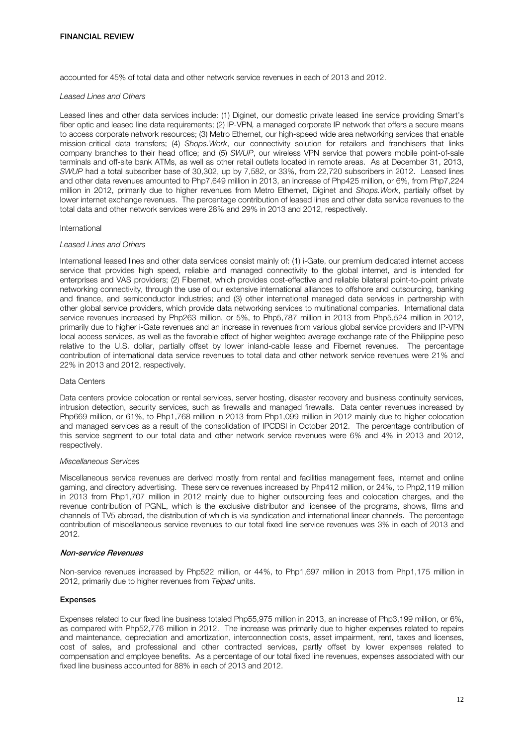accounted for 45% of total data and other network service revenues in each of 2013 and 2012.

#### *Leased Lines and Others*

Leased lines and other data services include: (1) Diginet, our domestic private leased line service providing Smart's fiber optic and leased line data requirements; (2) IP-VPN*,* a managed corporate IP network that offers a secure means to access corporate network resources; (3) Metro Ethernet, our high-speed wide area networking services that enable mission-critical data transfers; (4) *Shops.Work*, our connectivity solution for retailers and franchisers that links company branches to their head office; and (5) *SWUP*, our wireless VPN service that powers mobile point-of-sale terminals and off-site bank ATMs, as well as other retail outlets located in remote areas. As at December 31, 2013, *SWUP* had a total subscriber base of 30,302, up by 7,582, or 33%, from 22,720 subscribers in 2012. Leased lines and other data revenues amounted to Php7,649 million in 2013, an increase of Php425 million, or 6%, from Php7,224 million in 2012, primarily due to higher revenues from Metro Ethernet, Diginet and *Shops.Work*, partially offset by lower internet exchange revenues. The percentage contribution of leased lines and other data service revenues to the total data and other network services were 28% and 29% in 2013 and 2012, respectively.

#### International

## *Leased Lines and Others*

International leased lines and other data services consist mainly of: (1) i-Gate, our premium dedicated internet access service that provides high speed, reliable and managed connectivity to the global internet, and is intended for enterprises and VAS providers; (2) Fibernet, which provides cost-effective and reliable bilateral point-to-point private networking connectivity, through the use of our extensive international alliances to offshore and outsourcing, banking and finance, and semiconductor industries; and (3) other international managed data services in partnership with other global service providers, which provide data networking services to multinational companies. International data service revenues increased by Php263 million, or 5%, to Php5,787 million in 2013 from Php5,524 million in 2012, primarily due to higher i-Gate revenues and an increase in revenues from various global service providers and IP-VPN local access services, as well as the favorable effect of higher weighted average exchange rate of the Philippine peso relative to the U.S. dollar, partially offset by lower inland-cable lease and Fibernet revenues. The percentage contribution of international data service revenues to total data and other network service revenues were 21% and 22% in 2013 and 2012, respectively.

#### Data Centers

Data centers provide colocation or rental services, server hosting, disaster recovery and business continuity services, intrusion detection, security services, such as firewalls and managed firewalls. Data center revenues increased by Php669 million, or 61%, to Php1,768 million in 2013 from Php1,099 million in 2012 mainly due to higher colocation and managed services as a result of the consolidation of IPCDSI in October 2012. The percentage contribution of this service segment to our total data and other network service revenues were 6% and 4% in 2013 and 2012, respectively.

# *Miscellaneous Services*

Miscellaneous service revenues are derived mostly from rental and facilities management fees, internet and online gaming, and directory advertising. These service revenues increased by Php412 million, or 24%, to Php2,119 million in 2013 from Php1,707 million in 2012 mainly due to higher outsourcing fees and colocation charges, and the revenue contribution of PGNL, which is the exclusive distributor and licensee of the programs, shows, films and channels of TV5 abroad, the distribution of which is via syndication and international linear channels. The percentage contribution of miscellaneous service revenues to our total fixed line service revenues was 3% in each of 2013 and 2012.

#### Non-service Revenues

Non-service revenues increased by Php522 million, or 44%, to Php1,697 million in 2013 from Php1,175 million in 2012, primarily due to higher revenues from *Telpad* units.

# Expenses

Expenses related to our fixed line business totaled Php55,975 million in 2013, an increase of Php3,199 million, or 6%, as compared with Php52,776 million in 2012. The increase was primarily due to higher expenses related to repairs and maintenance, depreciation and amortization, interconnection costs, asset impairment, rent, taxes and licenses, cost of sales, and professional and other contracted services, partly offset by lower expenses related to compensation and employee benefits. As a percentage of our total fixed line revenues, expenses associated with our fixed line business accounted for 88% in each of 2013 and 2012.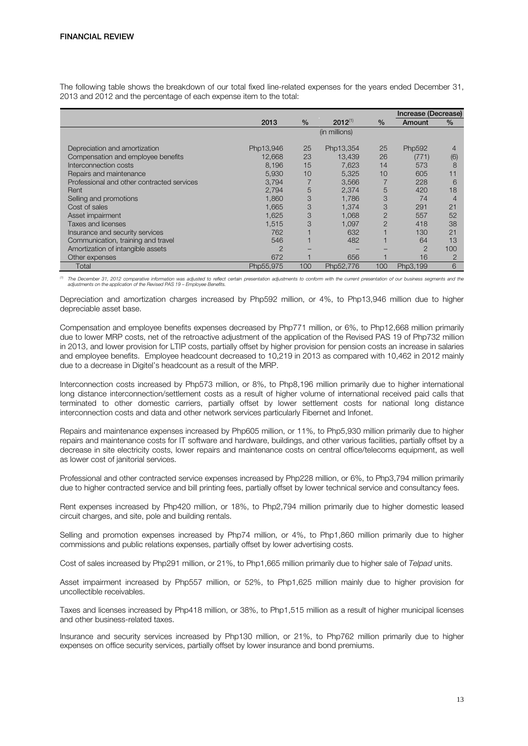The following table shows the breakdown of our total fixed line-related expenses for the years ended December 31, 2013 and 2012 and the percentage of each expense item to the total:

|                                            |               |               |               |                | Increase (Decrease) |      |
|--------------------------------------------|---------------|---------------|---------------|----------------|---------------------|------|
|                                            | 2013          | $\frac{0}{0}$ | $2012^{(1)}$  | $\frac{0}{0}$  | Amount              | $\%$ |
|                                            |               |               | (in millions) |                |                     |      |
| Depreciation and amortization              | Php13,946     | 25            | Php13,354     | 25             | Php592              | 4    |
| Compensation and employee benefits         | 12,668        | 23            | 13.439        | 26             | (771)               | (6)  |
| Interconnection costs                      | 8,196         | 15            | 7,623         | 14             | 573                 | 8    |
| Repairs and maintenance                    | 5,930         | 10            | 5.325         | 10             | 605                 | 11   |
| Professional and other contracted services | 3,794         |               | 3,566         |                | 228                 | 6    |
| Rent                                       | 2.794         | 5             | 2.374         | 5              | 420                 | 18   |
| Selling and promotions                     | 1.860         | 3             | 1.786         | 3              | 74                  | 4    |
| Cost of sales                              | 1,665         | 3             | 1.374         | 3              | 291                 | 21   |
| Asset impairment                           | 1.625         | 3             | 1.068         | $\overline{2}$ | 557                 | 52   |
| Taxes and licenses                         | 1.515         | 3             | 1.097         | $\overline{2}$ | 418                 | 38   |
| Insurance and security services            | 762           |               | 632           |                | 130                 | 21   |
| Communication, training and travel         | 546           |               | 482           |                | 64                  | 13   |
| Amortization of intangible assets          | $\mathcal{P}$ |               |               |                | $\overline{2}$      | 100  |
| Other expenses                             | 672           |               | 656           |                | 16                  | 2    |
| Total                                      | Php55,975     | 100           | Php52,776     | 100            | Php3,199            | 6    |

*(1) The December 31, 2012 comparative information was adjusted to reflect certain presentation adjustments to conform with the current presentation of our business segments and the adjustments on the application of the Revised PAS 19 – Employee Benefits.* 

Depreciation and amortization charges increased by Php592 million, or 4%, to Php13,946 million due to higher depreciable asset base.

Compensation and employee benefits expenses decreased by Php771 million, or 6%, to Php12,668 million primarily due to lower MRP costs, net of the retroactive adjustment of the application of the Revised PAS 19 of Php732 million in 2013, and lower provision for LTIP costs, partially offset by higher provision for pension costs an increase in salaries and employee benefits. Employee headcount decreased to 10,219 in 2013 as compared with 10,462 in 2012 mainly due to a decrease in Digitel's headcount as a result of the MRP.

Interconnection costs increased by Php573 million, or 8%, to Php8,196 million primarily due to higher international long distance interconnection/settlement costs as a result of higher volume of international received paid calls that terminated to other domestic carriers, partially offset by lower settlement costs for national long distance interconnection costs and data and other network services particularly Fibernet and Infonet.

Repairs and maintenance expenses increased by Php605 million, or 11%, to Php5,930 million primarily due to higher repairs and maintenance costs for IT software and hardware, buildings, and other various facilities, partially offset by a decrease in site electricity costs, lower repairs and maintenance costs on central office/telecoms equipment, as well as lower cost of janitorial services.

Professional and other contracted service expenses increased by Php228 million, or 6%, to Php3,794 million primarily due to higher contracted service and bill printing fees, partially offset by lower technical service and consultancy fees.

Rent expenses increased by Php420 million, or 18%, to Php2,794 million primarily due to higher domestic leased circuit charges, and site, pole and building rentals.

Selling and promotion expenses increased by Php74 million, or 4%, to Php1,860 million primarily due to higher commissions and public relations expenses, partially offset by lower advertising costs.

Cost of sales increased by Php291 million, or 21%, to Php1,665 million primarily due to higher sale of *Telpad* units.

Asset impairment increased by Php557 million, or 52%, to Php1,625 million mainly due to higher provision for uncollectible receivables.

Taxes and licenses increased by Php418 million, or 38%, to Php1,515 million as a result of higher municipal licenses and other business-related taxes.

Insurance and security services increased by Php130 million, or 21%, to Php762 million primarily due to higher expenses on office security services, partially offset by lower insurance and bond premiums.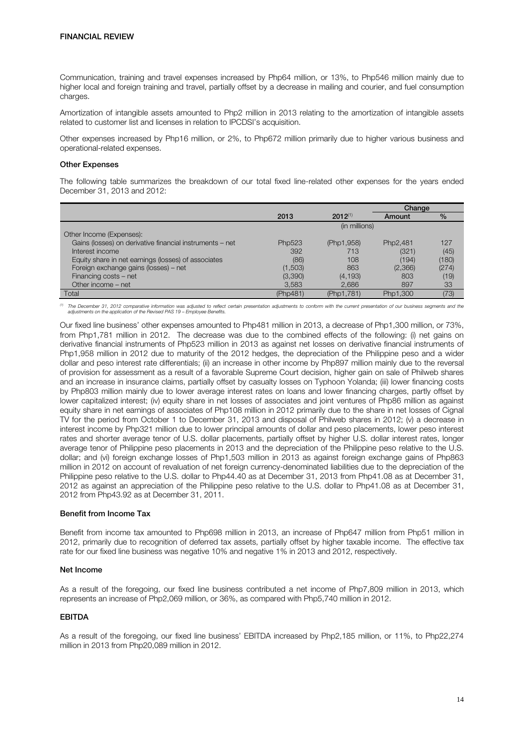Communication, training and travel expenses increased by Php64 million, or 13%, to Php546 million mainly due to higher local and foreign training and travel, partially offset by a decrease in mailing and courier, and fuel consumption charges.

Amortization of intangible assets amounted to Php2 million in 2013 relating to the amortization of intangible assets related to customer list and licenses in relation to IPCDSI's acquisition.

Other expenses increased by Php16 million, or 2%, to Php672 million primarily due to higher various business and operational-related expenses.

#### Other Expenses

The following table summarizes the breakdown of our total fixed line-related other expenses for the years ended December 31, 2013 and 2012:

|                                                          |          |               | Change   |       |
|----------------------------------------------------------|----------|---------------|----------|-------|
|                                                          | 2013     | $2012^{(1)}$  | Amount   | $\%$  |
|                                                          |          | (in millions) |          |       |
| Other Income (Expenses):                                 |          |               |          |       |
| Gains (losses) on derivative financial instruments - net | Php523   | (Php1,958)    | Php2,481 | 127   |
| Interest income                                          | 392      | 713           | (321)    | (45)  |
| Equity share in net earnings (losses) of associates      | (86)     | 108           | (194)    | (180) |
| Foreign exchange gains (losses) - net                    | (1,503)  | 863           | (2,366)  | (274) |
| Financing costs – net                                    | (3,390)  | (4, 193)      | 803      | (19)  |
| Other income – net                                       | 3,583    | 2,686         | 897      | 33    |
| Total                                                    | (Php481) | (Php1,781)    | Php1.300 | (73)  |

<sup>(1)</sup> The December 31, 2012 comparative information was adjusted to reflect certain presentation adjustments to conform with the current presentation of our business segments and the<br>adjustments on the application of the R

Our fixed line business' other expenses amounted to Php481 million in 2013, a decrease of Php1,300 million, or 73%, from Php1,781 million in 2012. The decrease was due to the combined effects of the following: (i) net gains on derivative financial instruments of Php523 million in 2013 as against net losses on derivative financial instruments of Php1,958 million in 2012 due to maturity of the 2012 hedges, the depreciation of the Philippine peso and a wider dollar and peso interest rate differentials; (ii) an increase in other income by Php897 million mainly due to the reversal of provision for assessment as a result of a favorable Supreme Court decision, higher gain on sale of Philweb shares and an increase in insurance claims, partially offset by casualty losses on Typhoon Yolanda; (iii) lower financing costs by Php803 million mainly due to lower average interest rates on loans and lower financing charges, partly offset by lower capitalized interest; (iv) equity share in net losses of associates and joint ventures of Php86 million as against equity share in net earnings of associates of Php108 million in 2012 primarily due to the share in net losses of Cignal TV for the period from October 1 to December 31, 2013 and disposal of Philweb shares in 2012; (v) a decrease in interest income by Php321 million due to lower principal amounts of dollar and peso placements, lower peso interest rates and shorter average tenor of U.S. dollar placements, partially offset by higher U.S. dollar interest rates, longer average tenor of Philippine peso placements in 2013 and the depreciation of the Philippine peso relative to the U.S. dollar; and (vi) foreign exchange losses of Php1,503 million in 2013 as against foreign exchange gains of Php863 million in 2012 on account of revaluation of net foreign currency-denominated liabilities due to the depreciation of the Philippine peso relative to the U.S. dollar to Php44.40 as at December 31, 2013 from Php41.08 as at December 31, 2012 as against an appreciation of the Philippine peso relative to the U.S. dollar to Php41.08 as at December 31, 2012 from Php43.92 as at December 31, 2011.

# Benefit from Income Tax

Benefit from income tax amounted to Php698 million in 2013, an increase of Php647 million from Php51 million in 2012, primarily due to recognition of deferred tax assets, partially offset by higher taxable income. The effective tax rate for our fixed line business was negative 10% and negative 1% in 2013 and 2012, respectively.

# Net Income

As a result of the foregoing, our fixed line business contributed a net income of Php7,809 million in 2013, which represents an increase of Php2,069 million, or 36%, as compared with Php5,740 million in 2012.

# EBITDA

As a result of the foregoing, our fixed line business' EBITDA increased by Php2,185 million, or 11%, to Php22,274 million in 2013 from Php20,089 million in 2012.